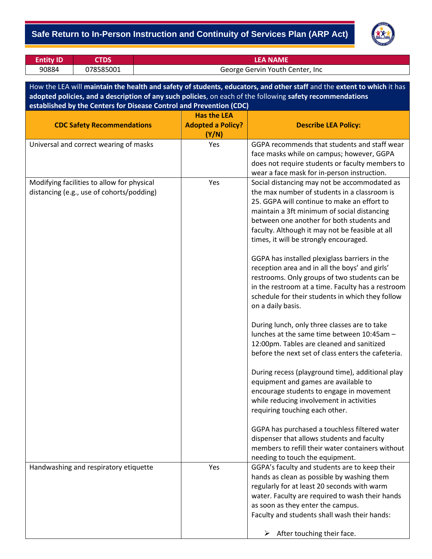

| <b>Entity ID</b> | <b>CTDS</b> | <b>LEA NAME</b>                 |
|------------------|-------------|---------------------------------|
| 90884            | 078585001   | George Gervin Youth Center, Inc |

How the LEA will **maintain the health and safety of students, educators, and other staff** and the **extent to which** it has **adopted policies, and a description of any such policies**, on each of the following **safety recommendations established by the Centers for Disease Control and Prevention (CDC)**

|                                            | <b>Has the LEA</b>       |                                                                                           |
|--------------------------------------------|--------------------------|-------------------------------------------------------------------------------------------|
| <b>CDC Safety Recommendations</b>          | <b>Adopted a Policy?</b> | <b>Describe LEA Policy:</b>                                                               |
|                                            | (Y/N)                    |                                                                                           |
| Universal and correct wearing of masks     | Yes                      | GGPA recommends that students and staff wear                                              |
|                                            |                          | face masks while on campus; however, GGPA                                                 |
|                                            |                          | does not require students or faculty members to                                           |
|                                            |                          | wear a face mask for in-person instruction.                                               |
| Modifying facilities to allow for physical | Yes                      | Social distancing may not be accommodated as                                              |
| distancing (e.g., use of cohorts/podding)  |                          | the max number of students in a classroom is                                              |
|                                            |                          | 25. GGPA will continue to make an effort to                                               |
|                                            |                          | maintain a 3ft minimum of social distancing                                               |
|                                            |                          | between one another for both students and                                                 |
|                                            |                          | faculty. Although it may not be feasible at all<br>times, it will be strongly encouraged. |
|                                            |                          |                                                                                           |
|                                            |                          | GGPA has installed plexiglass barriers in the                                             |
|                                            |                          | reception area and in all the boys' and girls'                                            |
|                                            |                          | restrooms. Only groups of two students can be                                             |
|                                            |                          | in the restroom at a time. Faculty has a restroom                                         |
|                                            |                          | schedule for their students in which they follow                                          |
|                                            |                          | on a daily basis.                                                                         |
|                                            |                          |                                                                                           |
|                                            |                          | During lunch, only three classes are to take                                              |
|                                            |                          | lunches at the same time between 10:45am -                                                |
|                                            |                          | 12:00pm. Tables are cleaned and sanitized                                                 |
|                                            |                          | before the next set of class enters the cafeteria.                                        |
|                                            |                          |                                                                                           |
|                                            |                          | During recess (playground time), additional play                                          |
|                                            |                          | equipment and games are available to                                                      |
|                                            |                          | encourage students to engage in movement                                                  |
|                                            |                          | while reducing involvement in activities                                                  |
|                                            |                          | requiring touching each other.                                                            |
|                                            |                          | GGPA has purchased a touchless filtered water                                             |
|                                            |                          | dispenser that allows students and faculty                                                |
|                                            |                          | members to refill their water containers without                                          |
|                                            |                          | needing to touch the equipment.                                                           |
| Handwashing and respiratory etiquette      | Yes                      | GGPA's faculty and students are to keep their                                             |
|                                            |                          | hands as clean as possible by washing them                                                |
|                                            |                          | regularly for at least 20 seconds with warm                                               |
|                                            |                          | water. Faculty are required to wash their hands                                           |
|                                            |                          | as soon as they enter the campus.                                                         |
|                                            |                          | Faculty and students shall wash their hands:                                              |
|                                            |                          |                                                                                           |
|                                            |                          | $\triangleright$ After touching their face.                                               |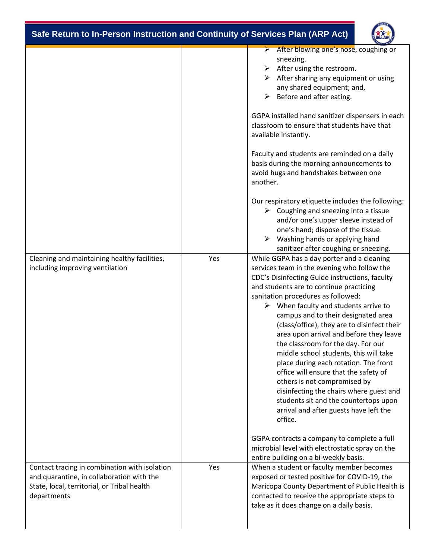| Safe Return to In-Person Instruction and Continuity of Services Plan (ARP Act)                                                                           |     |                                                                                                                                                                                                                                                                                                                                                                                                                                                                                                                                                                                                                                                                                                                                                                  |  |
|----------------------------------------------------------------------------------------------------------------------------------------------------------|-----|------------------------------------------------------------------------------------------------------------------------------------------------------------------------------------------------------------------------------------------------------------------------------------------------------------------------------------------------------------------------------------------------------------------------------------------------------------------------------------------------------------------------------------------------------------------------------------------------------------------------------------------------------------------------------------------------------------------------------------------------------------------|--|
|                                                                                                                                                          |     | $\triangleright$ After blowing one's nose, coughing or<br>sneezing.<br>After using the restroom.<br>➤<br>After sharing any equipment or using<br>any shared equipment; and,<br>Before and after eating.<br>≻                                                                                                                                                                                                                                                                                                                                                                                                                                                                                                                                                     |  |
|                                                                                                                                                          |     | GGPA installed hand sanitizer dispensers in each<br>classroom to ensure that students have that<br>available instantly.                                                                                                                                                                                                                                                                                                                                                                                                                                                                                                                                                                                                                                          |  |
|                                                                                                                                                          |     | Faculty and students are reminded on a daily<br>basis during the morning announcements to<br>avoid hugs and handshakes between one<br>another.                                                                                                                                                                                                                                                                                                                                                                                                                                                                                                                                                                                                                   |  |
|                                                                                                                                                          |     | Our respiratory etiquette includes the following:<br>$\triangleright$ Coughing and sneezing into a tissue<br>and/or one's upper sleeve instead of<br>one's hand; dispose of the tissue.<br>Washing hands or applying hand<br>➤<br>sanitizer after coughing or sneezing.                                                                                                                                                                                                                                                                                                                                                                                                                                                                                          |  |
| Cleaning and maintaining healthy facilities,<br>including improving ventilation                                                                          | Yes | While GGPA has a day porter and a cleaning<br>services team in the evening who follow the<br>CDC's Disinfecting Guide instructions, faculty<br>and students are to continue practicing<br>sanitation procedures as followed:<br>$\triangleright$ When faculty and students arrive to<br>campus and to their designated area<br>(class/office), they are to disinfect their<br>area upon arrival and before they leave<br>the classroom for the day. For our<br>middle school students, this will take<br>place during each rotation. The front<br>office will ensure that the safety of<br>others is not compromised by<br>disinfecting the chairs where guest and<br>students sit and the countertops upon<br>arrival and after guests have left the<br>office. |  |
|                                                                                                                                                          |     | GGPA contracts a company to complete a full<br>microbial level with electrostatic spray on the<br>entire building on a bi-weekly basis.                                                                                                                                                                                                                                                                                                                                                                                                                                                                                                                                                                                                                          |  |
| Contact tracing in combination with isolation<br>and quarantine, in collaboration with the<br>State, local, territorial, or Tribal health<br>departments | Yes | When a student or faculty member becomes<br>exposed or tested positive for COVID-19, the<br>Maricopa County Department of Public Health is<br>contacted to receive the appropriate steps to<br>take as it does change on a daily basis.                                                                                                                                                                                                                                                                                                                                                                                                                                                                                                                          |  |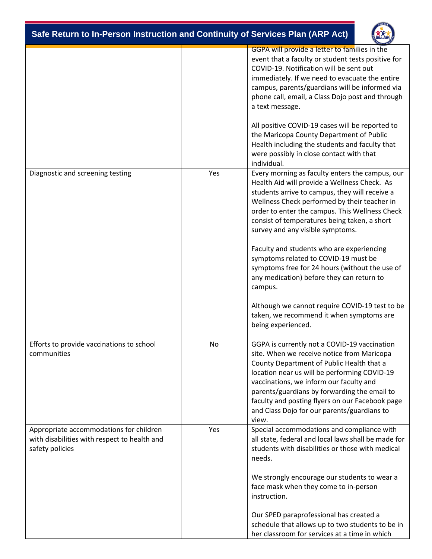| Safe Return to In-Person Instruction and Continuity of Services Plan (ARP Act) |  |
|--------------------------------------------------------------------------------|--|
|                                                                                |  |

|                                                                                                            |     | GGPA will provide a letter to families in the<br>event that a faculty or student tests positive for<br>COVID-19. Notification will be sent out<br>immediately. If we need to evacuate the entire<br>campus, parents/guardians will be informed via<br>phone call, email, a Class Dojo post and through<br>a text message.<br>All positive COVID-19 cases will be reported to<br>the Maricopa County Department of Public<br>Health including the students and faculty that<br>were possibly in close contact with that<br>individual.                                                                                                                      |
|------------------------------------------------------------------------------------------------------------|-----|------------------------------------------------------------------------------------------------------------------------------------------------------------------------------------------------------------------------------------------------------------------------------------------------------------------------------------------------------------------------------------------------------------------------------------------------------------------------------------------------------------------------------------------------------------------------------------------------------------------------------------------------------------|
| Diagnostic and screening testing                                                                           | Yes | Every morning as faculty enters the campus, our<br>Health Aid will provide a Wellness Check. As<br>students arrive to campus, they will receive a<br>Wellness Check performed by their teacher in<br>order to enter the campus. This Wellness Check<br>consist of temperatures being taken, a short<br>survey and any visible symptoms.<br>Faculty and students who are experiencing<br>symptoms related to COVID-19 must be<br>symptoms free for 24 hours (without the use of<br>any medication) before they can return to<br>campus.<br>Although we cannot require COVID-19 test to be<br>taken, we recommend it when symptoms are<br>being experienced. |
| Efforts to provide vaccinations to school<br>communities                                                   | No  | GGPA is currently not a COVID-19 vaccination<br>site. When we receive notice from Maricopa<br>County Department of Public Health that a<br>location near us will be performing COVID-19<br>vaccinations, we inform our faculty and<br>parents/guardians by forwarding the email to<br>faculty and posting flyers on our Facebook page<br>and Class Dojo for our parents/guardians to<br>view.                                                                                                                                                                                                                                                              |
| Appropriate accommodations for children<br>with disabilities with respect to health and<br>safety policies | Yes | Special accommodations and compliance with<br>all state, federal and local laws shall be made for<br>students with disabilities or those with medical<br>needs.<br>We strongly encourage our students to wear a<br>face mask when they come to in-person<br>instruction.<br>Our SPED paraprofessional has created a<br>schedule that allows up to two students to be in<br>her classroom for services at a time in which                                                                                                                                                                                                                                   |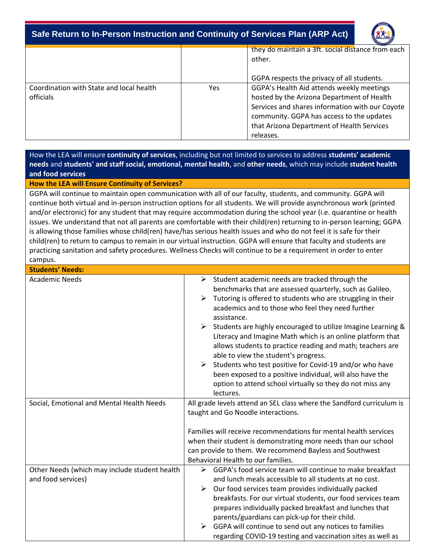

|                                                       |     | they do maintain a 3ft. social distance from each<br>other.                                                                                                                                                                                        |
|-------------------------------------------------------|-----|----------------------------------------------------------------------------------------------------------------------------------------------------------------------------------------------------------------------------------------------------|
|                                                       |     | GGPA respects the privacy of all students.                                                                                                                                                                                                         |
| Coordination with State and local health<br>officials | Yes | GGPA's Health Aid attends weekly meetings<br>hosted by the Arizona Department of Health<br>Services and shares information with our Coyote<br>community. GGPA has access to the updates<br>that Arizona Department of Health Services<br>releases. |

How the LEA will ensure **continuity of services**, including but not limited to services to address **students' academic needs** and **students' and staff social, emotional, mental health**, and **other needs**, which may include **student health and food services**

**How the LEA will Ensure Continuity of Services?**

GGPA will continue to maintain open communication with all of our faculty, students, and community. GGPA will continue both virtual and in-person instruction options for all students. We will provide asynchronous work (printed and/or electronic) for any student that may require accommodation during the school year (i.e. quarantine or health issues. We understand that not all parents are comfortable with their child(ren) returning to in-person learning; GGPA is allowing those families whose child(ren) have/has serious health issues and who do not feel it is safe for their child(ren) to return to campus to remain in our virtual instruction. GGPA will ensure that faculty and students are practicing sanitation and safety procedures. Wellness Checks will continue to be a requirement in order to enter campus.

| <b>Students' Needs:</b>                                             |                                                                                                                                                                                                                                                                                                                                                                                                                                                                                                                                                                                                                                                                                                         |
|---------------------------------------------------------------------|---------------------------------------------------------------------------------------------------------------------------------------------------------------------------------------------------------------------------------------------------------------------------------------------------------------------------------------------------------------------------------------------------------------------------------------------------------------------------------------------------------------------------------------------------------------------------------------------------------------------------------------------------------------------------------------------------------|
| <b>Academic Needs</b>                                               | Student academic needs are tracked through the<br>➤<br>benchmarks that are assessed quarterly, such as Galileo.<br>Tutoring is offered to students who are struggling in their<br>➤<br>academics and to those who feel they need further<br>assistance.<br>Students are highly encouraged to utilize Imagine Learning &<br>➤<br>Literacy and Imagine Math which is an online platform that<br>allows students to practice reading and math; teachers are<br>able to view the student's progress.<br>Students who test positive for Covid-19 and/or who have<br>➤<br>been exposed to a positive individual, will also have the<br>option to attend school virtually so they do not miss any<br>lectures. |
| Social, Emotional and Mental Health Needs                           | All grade levels attend an SEL class where the Sandford curriculum is<br>taught and Go Noodle interactions.<br>Families will receive recommendations for mental health services<br>when their student is demonstrating more needs than our school<br>can provide to them. We recommend Bayless and Southwest<br>Behavioral Health to our families.                                                                                                                                                                                                                                                                                                                                                      |
| Other Needs (which may include student health<br>and food services) | GGPA's food service team will continue to make breakfast<br>➤<br>and lunch meals accessible to all students at no cost.<br>Our food services team provides individually packed<br>➤<br>breakfasts. For our virtual students, our food services team<br>prepares individually packed breakfast and lunches that<br>parents/guardians can pick-up for their child.<br>GGPA will continue to send out any notices to families<br>➤<br>regarding COVID-19 testing and vaccination sites as well as                                                                                                                                                                                                          |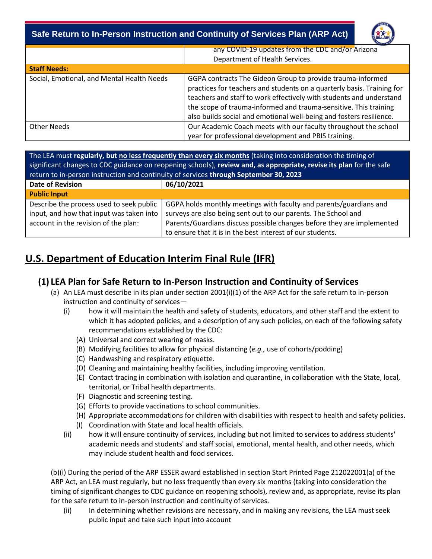

|                                            | any COVID-19 updates from the CDC and/or Arizona<br>Department of Health Services.                                                                                                                                                                                                                                                                     |
|--------------------------------------------|--------------------------------------------------------------------------------------------------------------------------------------------------------------------------------------------------------------------------------------------------------------------------------------------------------------------------------------------------------|
| <b>Staff Needs:</b>                        |                                                                                                                                                                                                                                                                                                                                                        |
| Social, Emotional, and Mental Health Needs | GGPA contracts The Gideon Group to provide trauma-informed<br>practices for teachers and students on a quarterly basis. Training for<br>teachers and staff to work effectively with students and understand<br>the scope of trauma-informed and trauma-sensitive. This training<br>also builds social and emotional well-being and fosters resilience. |
| Other Needs                                | Our Academic Coach meets with our faculty throughout the school<br>year for professional development and PBIS training.                                                                                                                                                                                                                                |

The LEA must **regularly, but no less frequently than every six months** (taking into consideration the timing of significant changes to CDC guidance on reopening schools), **review and, as appropriate, revise its plan** for the safe return to in-person instruction and continuity of services **through September 30, 2023**

| <b>Date of Revision</b>                                                              | 06/10/2021                                                                                                                           |  |
|--------------------------------------------------------------------------------------|--------------------------------------------------------------------------------------------------------------------------------------|--|
| <b>Public Input</b>                                                                  |                                                                                                                                      |  |
| Describe the process used to seek public<br>input, and how that input was taken into | GGPA holds monthly meetings with faculty and parents/guardians and<br>surveys are also being sent out to our parents. The School and |  |
| account in the revision of the plan:                                                 | Parents/Guardians discuss possible changes before they are implemented                                                               |  |
|                                                                                      | to ensure that it is in the best interest of our students.                                                                           |  |

# **U.S. Department of Education Interim Final Rule (IFR)**

## **(1) LEA Plan for Safe Return to In-Person Instruction and Continuity of Services**

- (a) An LEA must describe in its plan under section 2001(i)(1) of the ARP Act for the safe return to in-person instruction and continuity of services—
	- (i) how it will maintain the health and safety of students, educators, and other staff and the extent to which it has adopted policies, and a description of any such policies, on each of the following safety recommendations established by the CDC:
		- (A) Universal and correct wearing of masks.
		- (B) Modifying facilities to allow for physical distancing (*e.g.,* use of cohorts/podding)
		- (C) Handwashing and respiratory etiquette.
		- (D) Cleaning and maintaining healthy facilities, including improving ventilation.
		- (E) Contact tracing in combination with isolation and quarantine, in collaboration with the State, local, territorial, or Tribal health departments.
		- (F) Diagnostic and screening testing.
		- (G) Efforts to provide vaccinations to school communities.
		- (H) Appropriate accommodations for children with disabilities with respect to health and safety policies.
		- (I) Coordination with State and local health officials.
	- (ii) how it will ensure continuity of services, including but not limited to services to address students' academic needs and students' and staff social, emotional, mental health, and other needs, which may include student health and food services.

(b)(i) During the period of the ARP ESSER award established in section Start Printed Page 212022001(a) of the ARP Act, an LEA must regularly, but no less frequently than every six months (taking into consideration the timing of significant changes to CDC guidance on reopening schools), review and, as appropriate, revise its plan for the safe return to in-person instruction and continuity of services.

(ii) In determining whether revisions are necessary, and in making any revisions, the LEA must seek public input and take such input into account